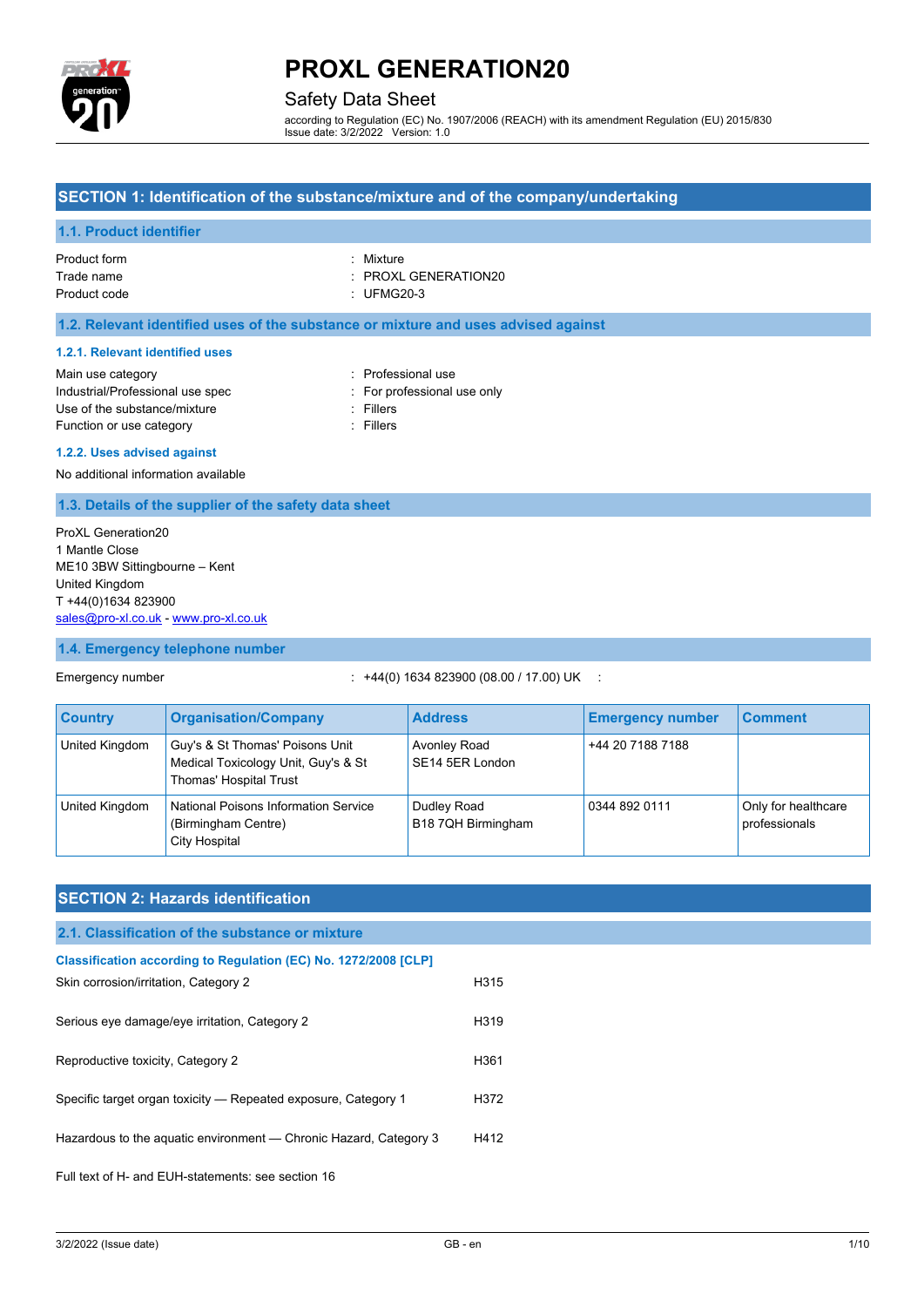

## Safety Data Sheet

according to Regulation (EC) No. 1907/2006 (REACH) with its amendment Regulation (EU) 2015/830 Issue date: 3/2/2022 Version: 1.0

#### **SECTION 1: Identification of the substance/mixture and of the company/undertaking**

#### **1.1. Product identifier**

| Product form | • Mixture            |
|--------------|----------------------|
| Trade name   | : PROXL GENERATION20 |
| Product code | : UFMG20-3           |

#### **1.2. Relevant identified uses of the substance or mixture and uses advised against**

#### **1.2.1. Relevant identified uses**

| Main use category                |
|----------------------------------|
| Industrial/Professional use spec |
| Use of the substance/mixture     |
| Function or use category         |

: Professional use : For professional use only : Fillers

: Fillers

#### **1.2.2. Uses advised against**

No additional information available

#### **1.3. Details of the supplier of the safety data sheet**

ProXL Generation20 1 Mantle Close ME10 3BW Sittingbourne – Kent United Kingdom T +44(0)1634 823900 [sales@pro-xl.co.uk](mailto:sales@pro-xl.co.uk) - [www.pro-xl.co.uk](http://www.pro-xl.co.uk/)

### **1.4. Emergency telephone number**

### Emergency number : +44(0) 1634 823900 (08.00 / 17.00) UK :

| <b>Country</b> | <b>Organisation/Company</b>                                                                      | <b>Address</b>                    | <b>Emergency number</b> | <b>Comment</b>                       |
|----------------|--------------------------------------------------------------------------------------------------|-----------------------------------|-------------------------|--------------------------------------|
| United Kingdom | Guy's & St Thomas' Poisons Unit<br>Medical Toxicology Unit, Guy's & St<br>Thomas' Hospital Trust | Avonley Road<br>SE14 5ER London   | +44 20 7188 7188        |                                      |
| United Kingdom | National Poisons Information Service<br>(Birmingham Centre)<br><b>City Hospital</b>              | Dudley Road<br>B18 7QH Birmingham | 0344 892 0111           | Only for healthcare<br>professionals |

### **SECTION 2: Hazards identification**

#### **2.1. Classification of the substance or mixture**

| Skin corrosion/irritation, Category 2                          | H315 |
|----------------------------------------------------------------|------|
| Serious eye damage/eye irritation, Category 2                  | H319 |
| Reproductive toxicity, Category 2                              | H361 |
| Specific target organ toxicity — Repeated exposure, Category 1 | H372 |

Hazardous to the aquatic environment - Chronic Hazard, Category 3 H412

Full text of H- and EUH-statements: see section 16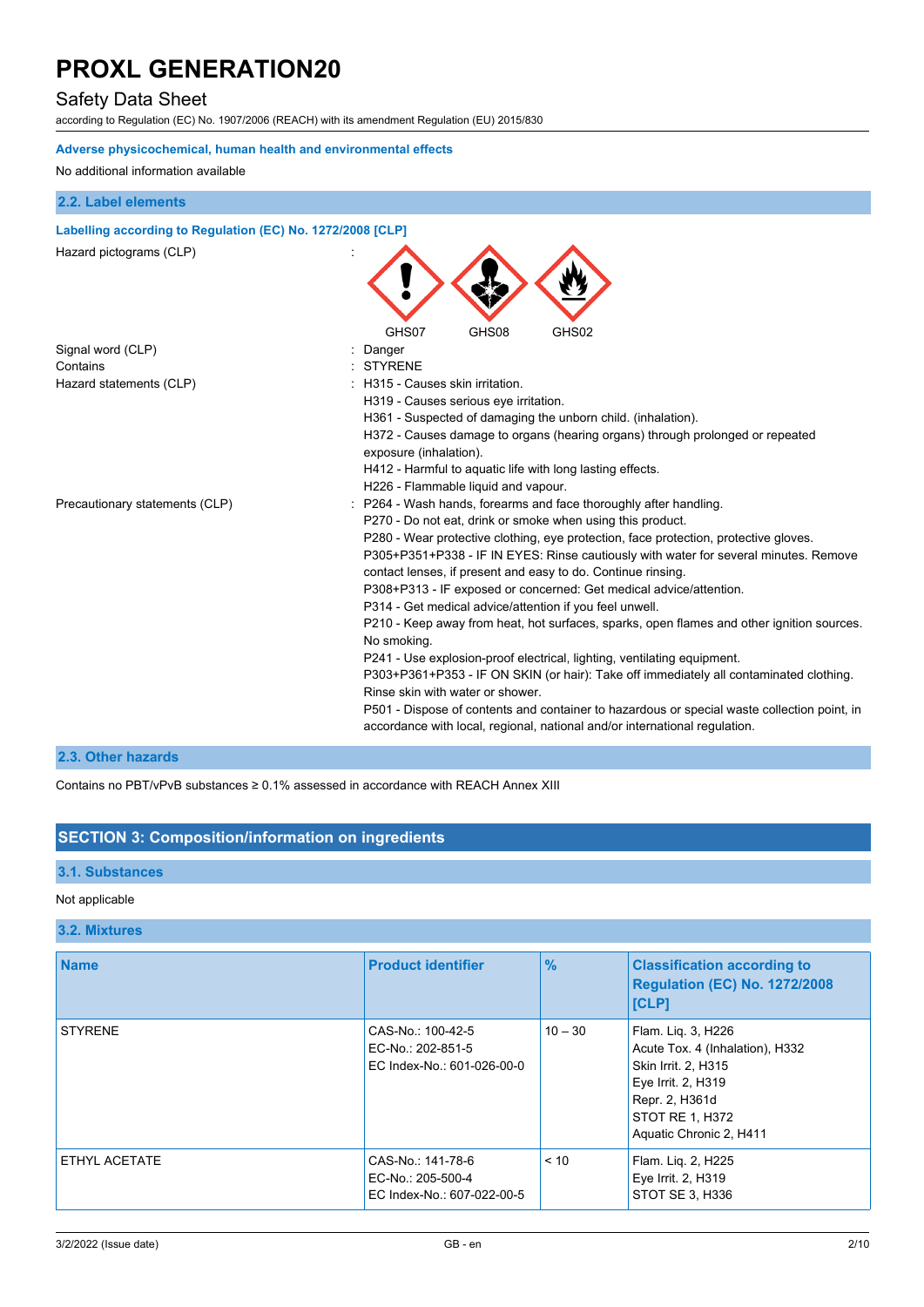## Safety Data Sheet

according to Regulation (EC) No. 1907/2006 (REACH) with its amendment Regulation (EU) 2015/830

### **Adverse physicochemical, human health and environmental effects**

#### No additional information available

#### **2.2. Label elements**

### **Labelling according to Regulation (EC) No. 1272/2008 [CLP]**

| Hazard pictograms (CLP)        |                                                                                                                                                                           |
|--------------------------------|---------------------------------------------------------------------------------------------------------------------------------------------------------------------------|
|                                | GHS07<br>GHS08<br>GHS02                                                                                                                                                   |
| Signal word (CLP)              | Danger                                                                                                                                                                    |
| Contains                       | <b>STYRENE</b>                                                                                                                                                            |
| Hazard statements (CLP)        | H315 - Causes skin irritation.                                                                                                                                            |
|                                | H319 - Causes serious eye irritation.                                                                                                                                     |
|                                | H361 - Suspected of damaging the unborn child. (inhalation).                                                                                                              |
|                                | H372 - Causes damage to organs (hearing organs) through prolonged or repeated<br>exposure (inhalation).                                                                   |
|                                | H412 - Harmful to aquatic life with long lasting effects.                                                                                                                 |
|                                | H226 - Flammable liquid and vapour.                                                                                                                                       |
| Precautionary statements (CLP) | P264 - Wash hands, forearms and face thoroughly after handling.                                                                                                           |
|                                | P270 - Do not eat, drink or smoke when using this product.                                                                                                                |
|                                | P280 - Wear protective clothing, eye protection, face protection, protective gloves.                                                                                      |
|                                | P305+P351+P338 - IF IN EYES: Rinse cautiously with water for several minutes. Remove                                                                                      |
|                                | contact lenses, if present and easy to do. Continue rinsing.                                                                                                              |
|                                | P308+P313 - IF exposed or concerned: Get medical advice/attention.                                                                                                        |
|                                | P314 - Get medical advice/attention if you feel unwell.                                                                                                                   |
|                                | P210 - Keep away from heat, hot surfaces, sparks, open flames and other ignition sources                                                                                  |
|                                | No smoking.                                                                                                                                                               |
|                                |                                                                                                                                                                           |
|                                | P241 - Use explosion-proof electrical, lighting, ventilating equipment.                                                                                                   |
|                                | P303+P361+P353 - IF ON SKIN (or hair): Take off immediately all contaminated clothing.                                                                                    |
|                                | Rinse skin with water or shower.                                                                                                                                          |
|                                | P501 - Dispose of contents and container to hazardous or special waste collection point, in<br>accordance with local, regional, national and/or international regulation. |
|                                |                                                                                                                                                                           |

#### **2.3. Other hazards**

Contains no PBT/vPvB substances ≥ 0.1% assessed in accordance with REACH Annex XIII

### **SECTION 3: Composition/information on ingredients**

#### **3.1. Substances**

#### Not applicable

#### **3.2. Mixtures**

| <b>Name</b>    | <b>Product identifier</b>                                            | $\frac{9}{6}$ | <b>Classification according to</b><br><b>Regulation (EC) No. 1272/2008</b><br>[CLP]                                                                                |
|----------------|----------------------------------------------------------------------|---------------|--------------------------------------------------------------------------------------------------------------------------------------------------------------------|
| <b>STYRENE</b> | CAS-No.: 100-42-5<br>EC-No.: 202-851-5<br>EC Index-No.: 601-026-00-0 | $10 - 30$     | Flam. Lig. 3, H226<br>Acute Tox. 4 (Inhalation), H332<br>Skin Irrit. 2, H315<br>Eye Irrit. 2, H319<br>Repr. 2, H361d<br>STOT RE 1, H372<br>Aquatic Chronic 2, H411 |
| ETHYL ACETATE  | CAS-No.: 141-78-6<br>EC-No.: 205-500-4<br>EC Index-No.: 607-022-00-5 | < 10          | Flam. Lig. 2, H225<br>Eye Irrit. 2, H319<br>STOT SE 3, H336                                                                                                        |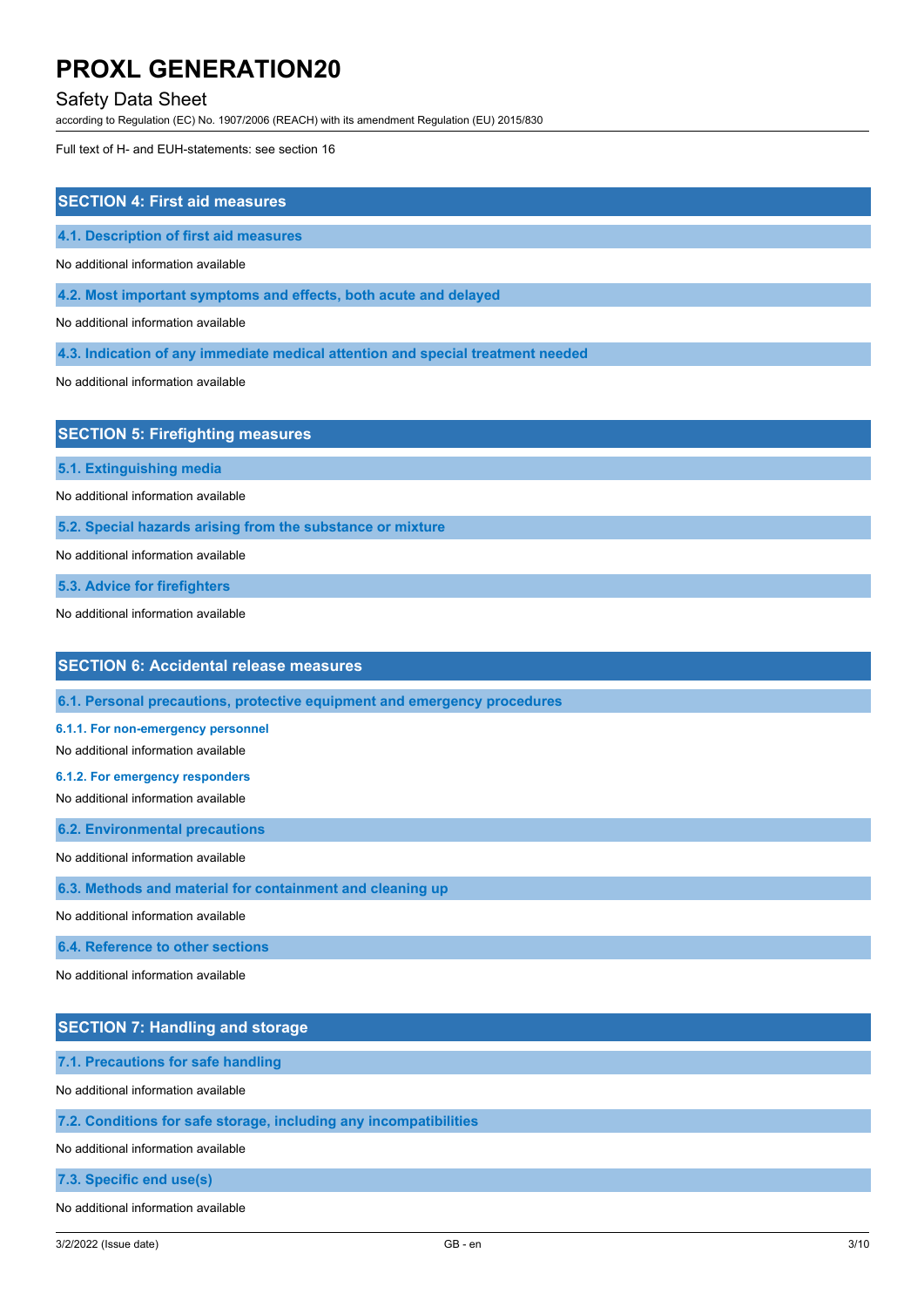### Safety Data Sheet

according to Regulation (EC) No. 1907/2006 (REACH) with its amendment Regulation (EU) 2015/830

Full text of H- and EUH-statements: see section 16

| <b>SECTION 4: First aid measures</b>                                            |
|---------------------------------------------------------------------------------|
| 4.1. Description of first aid measures                                          |
| No additional information available                                             |
| 4.2. Most important symptoms and effects, both acute and delayed                |
| No additional information available                                             |
| 4.3. Indication of any immediate medical attention and special treatment needed |
| No additional information available                                             |
|                                                                                 |
| <b>SECTION 5: Firefighting measures</b>                                         |
| 5.1. Extinguishing media                                                        |

No additional information available

**5.2. Special hazards arising from the substance or mixture**

No additional information available

**5.3. Advice for firefighters**

No additional information available

## **SECTION 6: Accidental release measures**

**6.1. Personal precautions, protective equipment and emergency procedures**

#### **6.1.1. For non-emergency personnel**

No additional information available

**6.1.2. For emergency responders**

No additional information available

**6.2. Environmental precautions**

No additional information available

**6.3. Methods and material for containment and cleaning up**

No additional information available

**6.4. Reference to other sections**

No additional information available

### **SECTION 7: Handling and storage**

**7.1. Precautions for safe handling**

No additional information available

#### **7.2. Conditions for safe storage, including any incompatibilities**

No additional information available

**7.3. Specific end use(s)**

No additional information available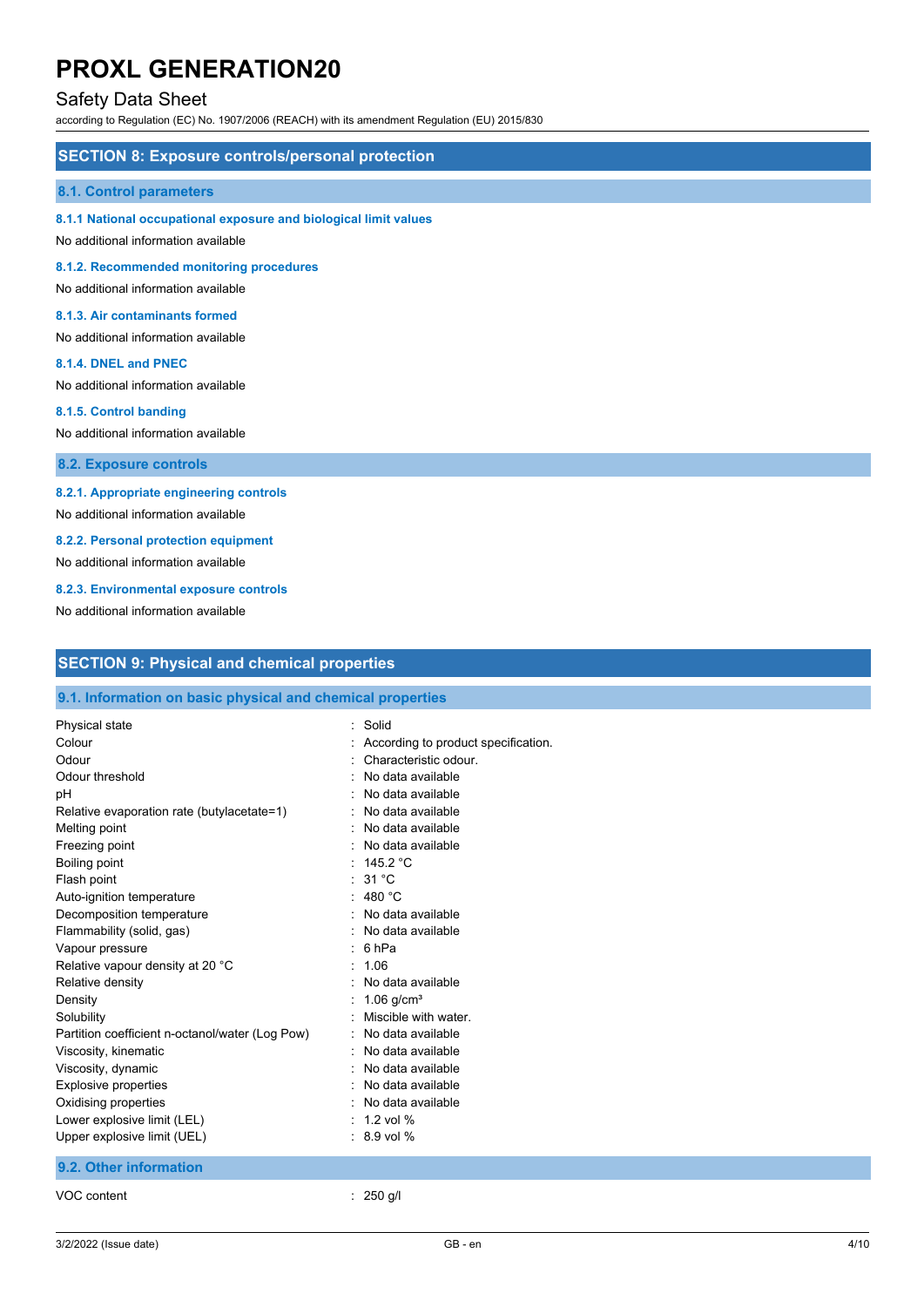## Safety Data Sheet

according to Regulation (EC) No. 1907/2006 (REACH) with its amendment Regulation (EU) 2015/830

#### **SECTION 8: Exposure controls/personal protection**

#### **8.1. Control parameters**

#### **8.1.1 National occupational exposure and biological limit values**

No additional information available

**8.1.2. Recommended monitoring procedures**

No additional information available

#### **8.1.3. Air contaminants formed**

No additional information available

#### **8.1.4. DNEL and PNEC**

No additional information available

#### **8.1.5. Control banding**

No additional information available

**8.2. Exposure controls**

#### **8.2.1. Appropriate engineering controls**

No additional information available

**8.2.2. Personal protection equipment**

No additional information available

#### **8.2.3. Environmental exposure controls**

No additional information available

| <b>SECTION 9: Physical and chemical properties</b> |  |  |
|----------------------------------------------------|--|--|
|                                                    |  |  |

### **9.1. Information on basic physical and chemical properties**

| Physical state                                  | Solid                               |
|-------------------------------------------------|-------------------------------------|
| Colour                                          | According to product specification. |
| Odour                                           | Characteristic odour.               |
| Odour threshold                                 | No data available                   |
| рH                                              | No data available                   |
| Relative evaporation rate (butylacetate=1)      | No data available                   |
| Melting point                                   | No data available                   |
| Freezing point                                  | No data available                   |
| Boiling point                                   | : $145.2 °C$                        |
| Flash point                                     | : 31 °C                             |
| Auto-ignition temperature                       | $\therefore$ 480 °C                 |
| Decomposition temperature                       | No data available                   |
| Flammability (solid, gas)                       | No data available                   |
| Vapour pressure                                 | 6 <sub>hPa</sub>                    |
| Relative vapour density at 20 °C                | 1.06                                |
| Relative density                                | No data available                   |
| Density                                         | 1.06 $q/cm^{3}$                     |
| Solubility                                      | Miscible with water.                |
| Partition coefficient n-octanol/water (Log Pow) | No data available                   |
| Viscosity, kinematic                            | No data available                   |
| Viscosity, dynamic                              | No data available                   |
| <b>Explosive properties</b>                     | No data available                   |
| Oxidising properties                            | : No data available                 |
| Lower explosive limit (LEL)                     | 1 2 vol %                           |
| Upper explosive limit (UEL)                     | $: 8.9$ vol %                       |
| 9.2. Other information                          |                                     |
| VOC content                                     | $250$ g/l                           |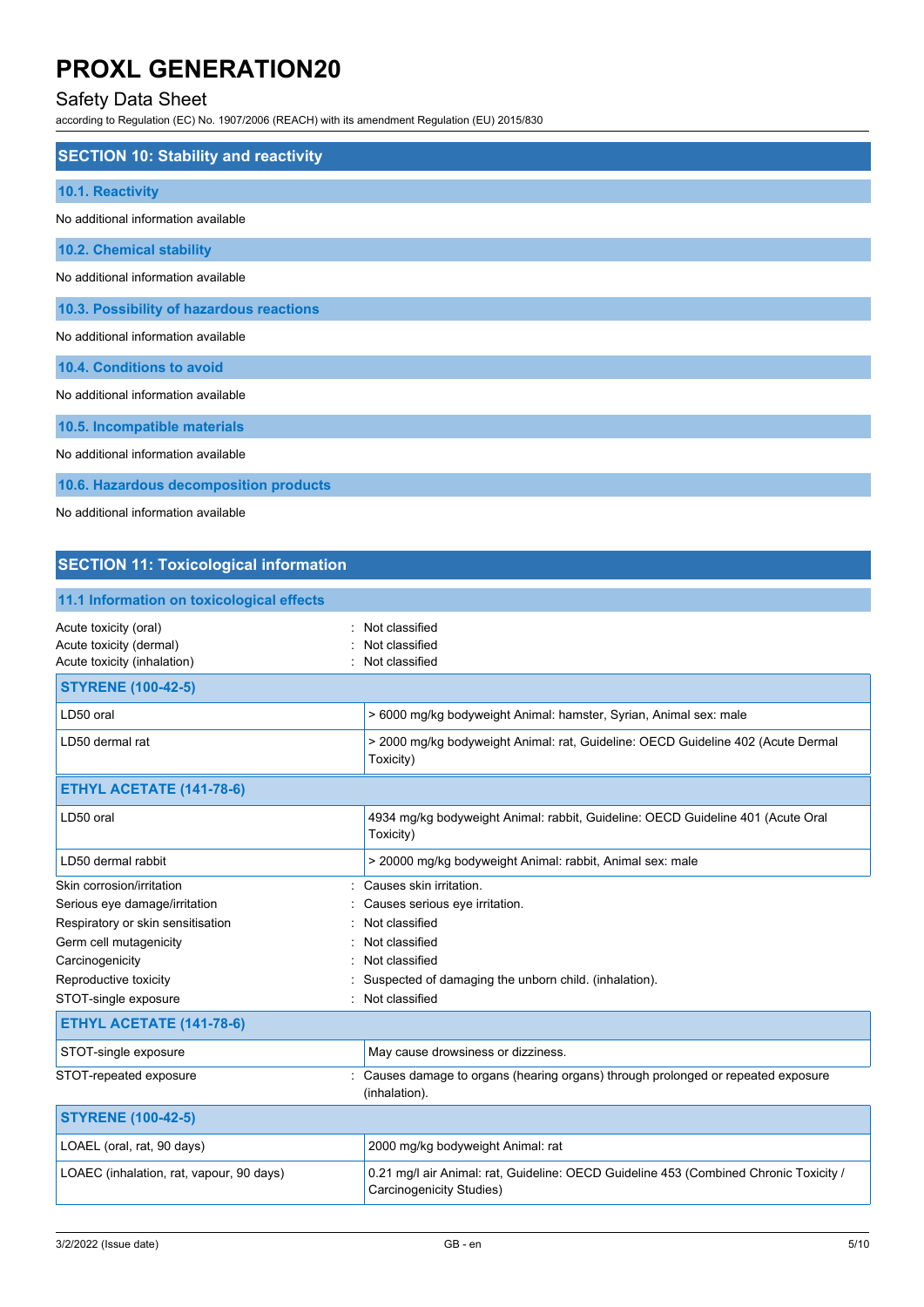## Safety Data Sheet

according to Regulation (EC) No. 1907/2006 (REACH) with its amendment Regulation (EU) 2015/830

| <b>SECTION 10: Stability and reactivity</b>                                                                     |
|-----------------------------------------------------------------------------------------------------------------|
| 10.1. Reactivity                                                                                                |
| No additional information available                                                                             |
| 10.2. Chemical stability                                                                                        |
| No additional information available                                                                             |
| 10.3. Possibility of hazardous reactions                                                                        |
| No additional information available                                                                             |
| 10.4. Conditions to avoid                                                                                       |
| No additional information available                                                                             |
| 10.5. Incompatible materials                                                                                    |
| No additional information available                                                                             |
| 10.6. Hazardous decomposition products                                                                          |
| the contract of the contract of the contract of the contract of the contract of the contract of the contract of |

No additional information available

## **SECTION 11: Toxicological information**

| 11.1 Information on toxicological effects                                       |                                                                                                                   |
|---------------------------------------------------------------------------------|-------------------------------------------------------------------------------------------------------------------|
| Acute toxicity (oral)<br>Acute toxicity (dermal)<br>Acute toxicity (inhalation) | Not classified<br>Not classified<br>Not classified                                                                |
| <b>STYRENE (100-42-5)</b>                                                       |                                                                                                                   |
| LD50 oral                                                                       | > 6000 mg/kg bodyweight Animal: hamster, Syrian, Animal sex: male                                                 |
| LD50 dermal rat                                                                 | > 2000 mg/kg bodyweight Animal: rat, Guideline: OECD Guideline 402 (Acute Dermal<br>Toxicity)                     |
| <b>ETHYL ACETATE (141-78-6)</b>                                                 |                                                                                                                   |
| LD50 oral                                                                       | 4934 mg/kg bodyweight Animal: rabbit, Guideline: OECD Guideline 401 (Acute Oral<br>Toxicity)                      |
| LD50 dermal rabbit                                                              | > 20000 mg/kg bodyweight Animal: rabbit, Animal sex: male                                                         |
| Skin corrosion/irritation                                                       | Causes skin irritation.                                                                                           |
| Serious eye damage/irritation                                                   | Causes serious eye irritation.                                                                                    |
| Respiratory or skin sensitisation                                               | Not classified                                                                                                    |
| Germ cell mutagenicity                                                          | Not classified                                                                                                    |
| Carcinogenicity                                                                 | Not classified                                                                                                    |
| Reproductive toxicity                                                           | Suspected of damaging the unborn child. (inhalation).                                                             |
| STOT-single exposure<br>٠                                                       | Not classified                                                                                                    |
| <b>ETHYL ACETATE (141-78-6)</b>                                                 |                                                                                                                   |
| STOT-single exposure                                                            | May cause drowsiness or dizziness.                                                                                |
| STOT-repeated exposure                                                          | Causes damage to organs (hearing organs) through prolonged or repeated exposure<br>(inhalation).                  |
| <b>STYRENE (100-42-5)</b>                                                       |                                                                                                                   |
| LOAEL (oral, rat, 90 days)                                                      | 2000 mg/kg bodyweight Animal: rat                                                                                 |
| LOAEC (inhalation, rat, vapour, 90 days)                                        | 0.21 mg/l air Animal: rat, Guideline: OECD Guideline 453 (Combined Chronic Toxicity /<br>Carcinogenicity Studies) |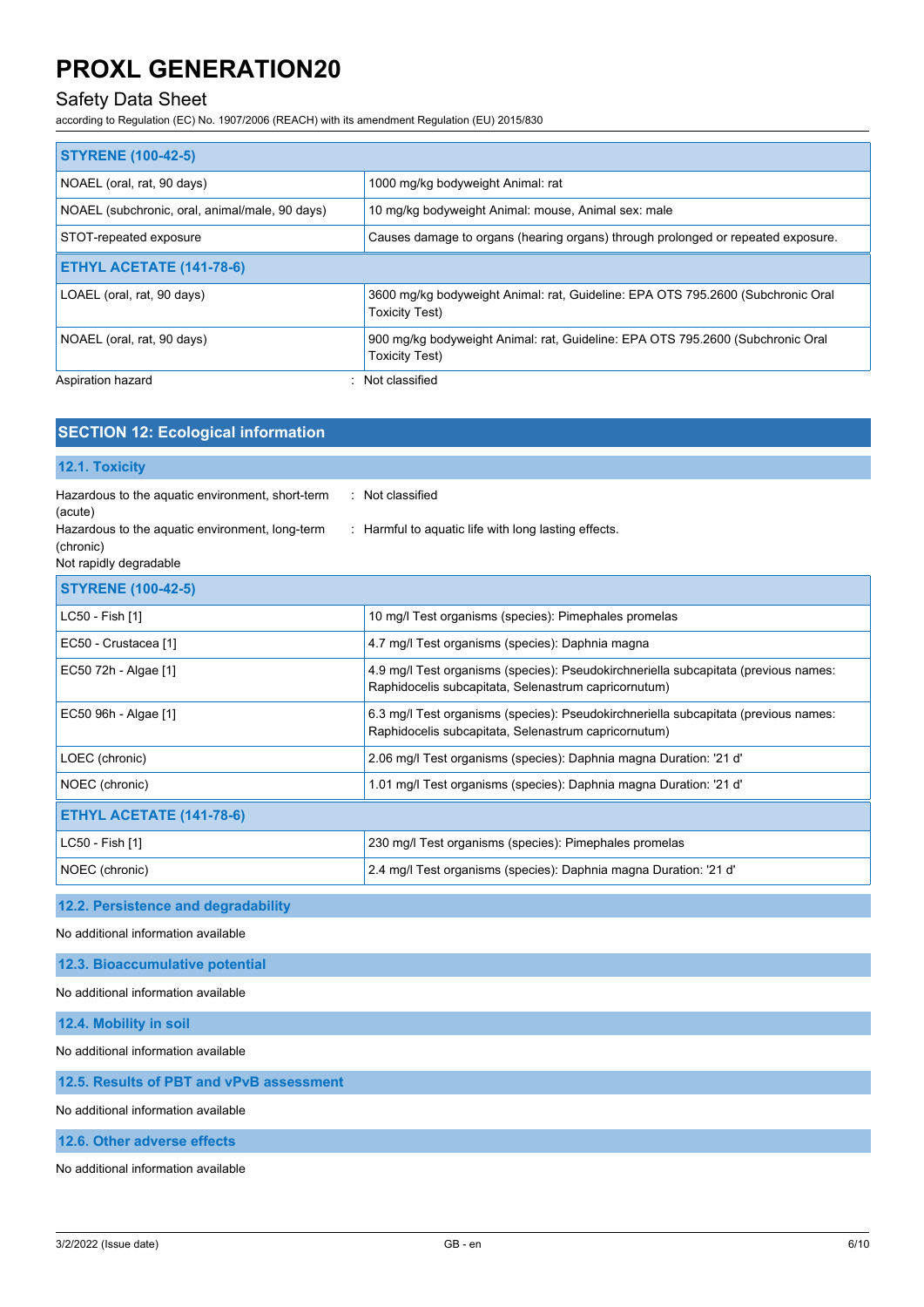**SECTION 12: Ecological information**

## Safety Data Sheet

according to Regulation (EC) No. 1907/2006 (REACH) with its amendment Regulation (EU) 2015/830

| <b>STYRENE (100-42-5)</b>                      |                                                                                                         |
|------------------------------------------------|---------------------------------------------------------------------------------------------------------|
| NOAEL (oral, rat, 90 days)                     | 1000 mg/kg bodyweight Animal: rat                                                                       |
| NOAEL (subchronic, oral, animal/male, 90 days) | 10 mg/kg bodyweight Animal: mouse, Animal sex: male                                                     |
| STOT-repeated exposure                         | Causes damage to organs (hearing organs) through prolonged or repeated exposure.                        |
| <b>ETHYL ACETATE (141-78-6)</b>                |                                                                                                         |
| LOAEL (oral, rat, 90 days)                     | 3600 mg/kg bodyweight Animal: rat, Guideline: EPA OTS 795.2600 (Subchronic Oral<br>Toxicity Test)       |
| NOAEL (oral, rat, 90 days)                     | 900 mg/kg bodyweight Animal: rat, Guideline: EPA OTS 795.2600 (Subchronic Oral<br><b>Toxicity Test)</b> |
| Aspiration hazard<br>۰.                        | Not classified                                                                                          |

| 12.1. Toxicity                                                                                                                                        |                                                                                                                                             |
|-------------------------------------------------------------------------------------------------------------------------------------------------------|---------------------------------------------------------------------------------------------------------------------------------------------|
| Hazardous to the aquatic environment, short-term<br>(acute)<br>Hazardous to the aquatic environment, long-term<br>(chronic)<br>Not rapidly degradable | : Not classified<br>: Harmful to aquatic life with long lasting effects.                                                                    |
| <b>STYRENE (100-42-5)</b>                                                                                                                             |                                                                                                                                             |
| LC50 - Fish [1]                                                                                                                                       | 10 mg/l Test organisms (species): Pimephales promelas                                                                                       |
| EC50 - Crustacea [1]                                                                                                                                  | 4.7 mg/l Test organisms (species): Daphnia magna                                                                                            |
| EC50 72h - Algae [1]                                                                                                                                  | 4.9 mg/l Test organisms (species): Pseudokirchneriella subcapitata (previous names:<br>Raphidocelis subcapitata, Selenastrum capricornutum) |
| EC50 96h - Algae [1]                                                                                                                                  | 6.3 mg/l Test organisms (species): Pseudokirchneriella subcapitata (previous names:<br>Raphidocelis subcapitata, Selenastrum capricornutum) |
| LOEC (chronic)                                                                                                                                        | 2.06 mg/l Test organisms (species): Daphnia magna Duration: '21 d'                                                                          |
| NOEC (chronic)                                                                                                                                        | 1.01 mg/l Test organisms (species): Daphnia magna Duration: '21 d'                                                                          |
| ETHYL ACETATE (141-78-6)                                                                                                                              |                                                                                                                                             |
| LC50 - Fish [1]                                                                                                                                       | 230 mg/l Test organisms (species): Pimephales promelas                                                                                      |
| NOEC (chronic)                                                                                                                                        | 2.4 mg/l Test organisms (species): Daphnia magna Duration: '21 d'                                                                           |

#### **12.2. Persistence and degradability**

No additional information available

#### **12.3. Bioaccumulative potential**

No additional information available

**12.4. Mobility in soil**

No additional information available

#### **12.5. Results of PBT and vPvB assessment**

No additional information available

#### **12.6. Other adverse effects**

No additional information available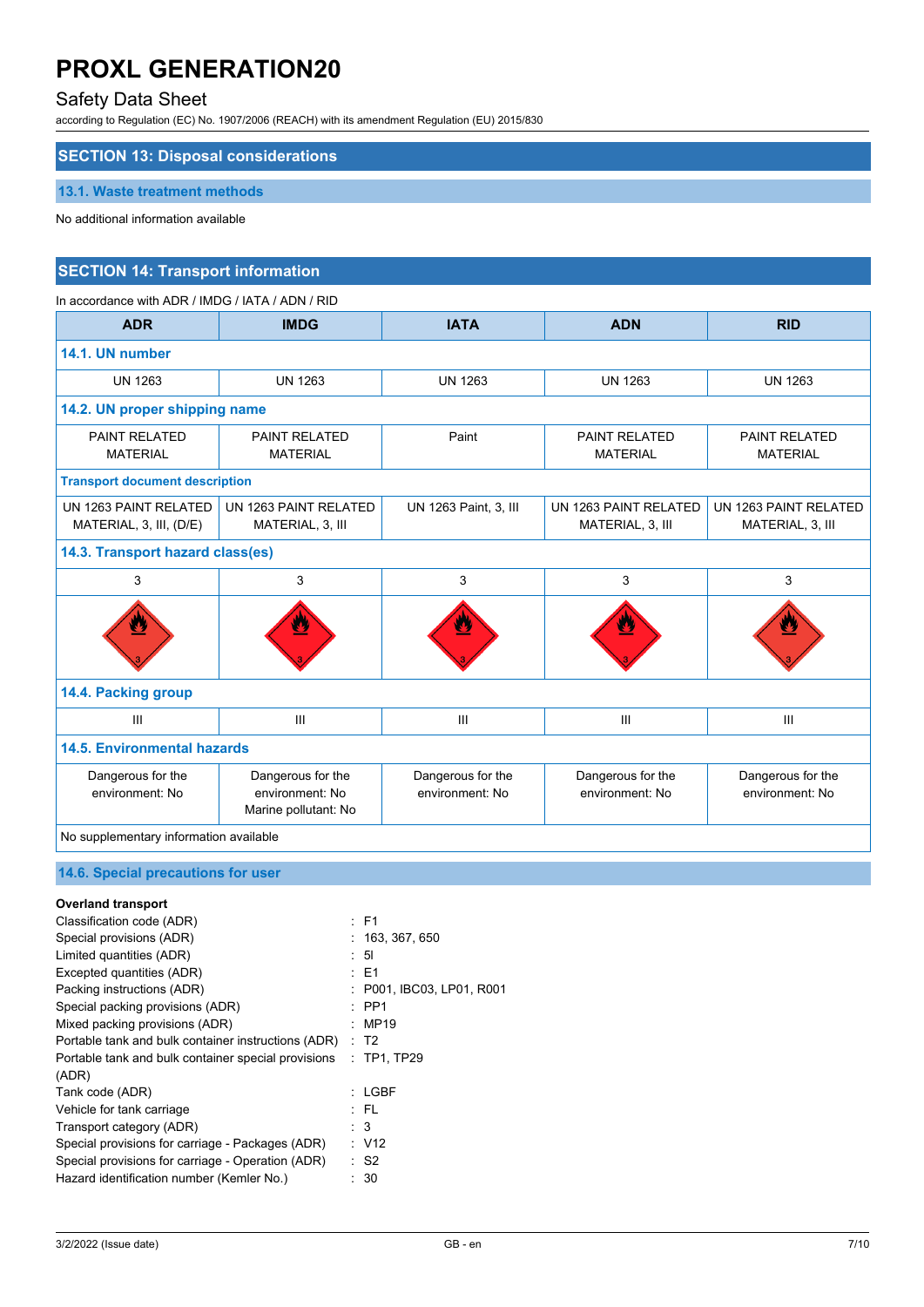## Safety Data Sheet

according to Regulation (EC) No. 1907/2006 (REACH) with its amendment Regulation (EU) 2015/830

## **SECTION 13: Disposal considerations**

#### **13.1. Waste treatment methods**

No additional information available

### **SECTION 14: Transport information**

| In accordance with ADR / IMDG / IATA / ADN / RID |                                                              |                                      |                                           |                                           |  |  |
|--------------------------------------------------|--------------------------------------------------------------|--------------------------------------|-------------------------------------------|-------------------------------------------|--|--|
| <b>ADR</b>                                       | <b>IMDG</b>                                                  | <b>IATA</b>                          | <b>ADN</b>                                | <b>RID</b>                                |  |  |
| 14.1. UN number                                  |                                                              |                                      |                                           |                                           |  |  |
| <b>UN 1263</b>                                   | <b>UN 1263</b>                                               | <b>UN 1263</b>                       | <b>UN 1263</b>                            | <b>UN 1263</b>                            |  |  |
| 14.2. UN proper shipping name                    |                                                              |                                      |                                           |                                           |  |  |
| <b>PAINT RELATED</b><br><b>MATERIAL</b>          | <b>PAINT RELATED</b><br><b>MATERIAL</b>                      | Paint                                | PAINT RELATED<br><b>MATERIAL</b>          | <b>PAINT RELATED</b><br><b>MATERIAL</b>   |  |  |
| <b>Transport document description</b>            |                                                              |                                      |                                           |                                           |  |  |
| UN 1263 PAINT RELATED<br>MATERIAL, 3, III, (D/E) | UN 1263 PAINT RELATED<br>MATERIAL, 3, III                    | UN 1263 Paint, 3, III                | UN 1263 PAINT RELATED<br>MATERIAL, 3, III | UN 1263 PAINT RELATED<br>MATERIAL, 3, III |  |  |
| 14.3. Transport hazard class(es)                 |                                                              |                                      |                                           |                                           |  |  |
| 3                                                | 3                                                            | 3                                    | 3                                         | 3                                         |  |  |
|                                                  | Ψ                                                            |                                      | V.                                        | Ŀ.                                        |  |  |
| 14.4. Packing group                              |                                                              |                                      |                                           |                                           |  |  |
| $\mathbf{III}$                                   | III                                                          | III                                  | III                                       | III                                       |  |  |
| <b>14.5. Environmental hazards</b>               |                                                              |                                      |                                           |                                           |  |  |
| Dangerous for the<br>environment: No             | Dangerous for the<br>environment: No<br>Marine pollutant: No | Dangerous for the<br>environment: No | Dangerous for the<br>environment: No      | Dangerous for the<br>environment: No      |  |  |
| No supplementary information available           |                                                              |                                      |                                           |                                           |  |  |
|                                                  |                                                              |                                      |                                           |                                           |  |  |

### **14.6. Special precautions for user**

| <b>Overland transport</b>                           |                           |
|-----------------------------------------------------|---------------------------|
| Classification code (ADR)                           | : F1                      |
| Special provisions (ADR)                            | : 163, 367, 650           |
| Limited quantities (ADR)                            | : 51                      |
| Excepted quantities (ADR)                           | : E1                      |
| Packing instructions (ADR)                          | : P001, IBC03, LP01, R001 |
| Special packing provisions (ADR)                    | $\therefore$ PP1          |
| Mixed packing provisions (ADR)                      | MP19                      |
| Portable tank and bulk container instructions (ADR) | : T2                      |
| Portable tank and bulk container special provisions | $\therefore$ TP1, TP29    |
| (ADR)                                               |                           |
| Tank code (ADR)                                     | $:$ LGBF                  |
| Vehicle for tank carriage                           | : FL                      |
| Transport category (ADR)                            | : 3                       |
| Special provisions for carriage - Packages (ADR)    | : V12                     |
| Special provisions for carriage - Operation (ADR)   | : S2                      |
| Hazard identification number (Kemler No.)           | - 30                      |
|                                                     |                           |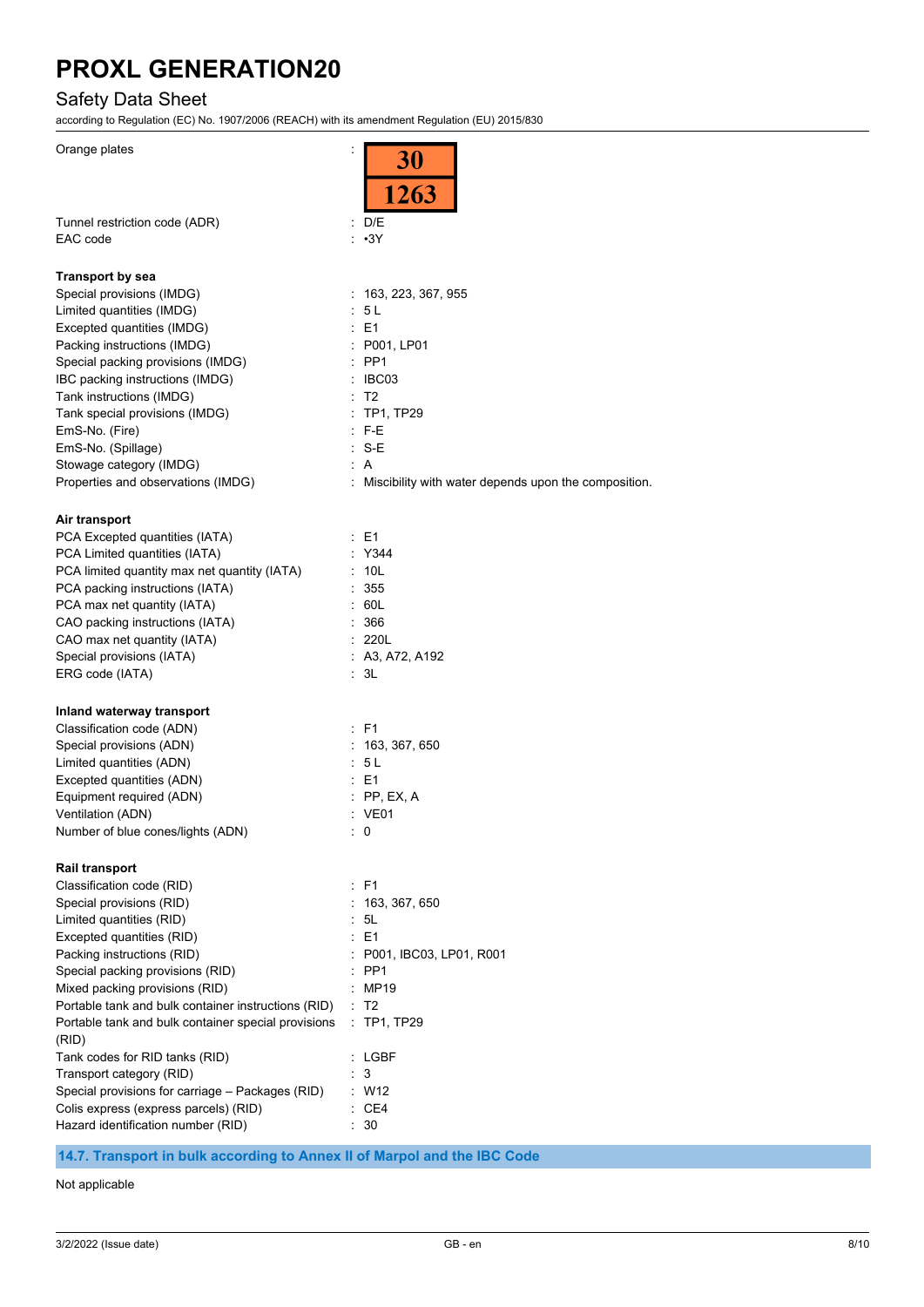### Safety Data Sheet

according to Regulation (EC) No. 1907/2006 (REACH) with its amendment Regulation (EU) 2015/830

| Orange plates                                       | ÷<br><b>30</b><br>$\frac{1}{1263}$                   |
|-----------------------------------------------------|------------------------------------------------------|
| Tunnel restriction code (ADR)                       | D/E<br>t.                                            |
| EAC code                                            | $\sim$<br>$\cdot$ 3Y                                 |
| <b>Transport by sea</b>                             |                                                      |
| Special provisions (IMDG)                           | : 163, 223, 367, 955                                 |
| Limited quantities (IMDG)                           | : 5L                                                 |
| Excepted quantities (IMDG)                          | $\therefore$ E1                                      |
| Packing instructions (IMDG)                         | : P001, LP01                                         |
| Special packing provisions (IMDG)                   | $:$ PP1                                              |
| IBC packing instructions (IMDG)                     | $\therefore$ IBC03                                   |
| Tank instructions (IMDG)                            | : T2                                                 |
| Tank special provisions (IMDG)                      | : TP1, TP29                                          |
| EmS-No. (Fire)                                      | $: F-E$                                              |
| EmS-No. (Spillage)                                  | $:$ S-E                                              |
| Stowage category (IMDG)                             | ÷.<br>A                                              |
| Properties and observations (IMDG)                  | Miscibility with water depends upon the composition. |
| Air transport                                       |                                                      |
| PCA Excepted quantities (IATA)                      | : E1                                                 |
| PCA Limited quantities (IATA)                       | : Y344                                               |
| PCA limited quantity max net quantity (IATA)        | : 10L                                                |
| PCA packing instructions (IATA)                     | : 355                                                |
| PCA max net quantity (IATA)                         | : 60L                                                |
| CAO packing instructions (IATA)                     | : 366                                                |
| CAO max net quantity (IATA)                         | : 220L                                               |
| Special provisions (IATA)                           | : A3, A72, A192                                      |
| ERG code (IATA)                                     | : 3L                                                 |
| Inland waterway transport                           |                                                      |
| Classification code (ADN)                           | : F1                                                 |
| Special provisions (ADN)                            | : 163, 367, 650                                      |
| Limited quantities (ADN)                            | : 5L                                                 |
| Excepted quantities (ADN)                           | : E1                                                 |
| Equipment required (ADN)                            | $\therefore$ PP, EX, A                               |
| Ventilation (ADN)                                   | : VE01                                               |
| Number of blue cones/lights (ADN)                   | ÷.<br>0                                              |
| <b>Rail transport</b>                               |                                                      |
| Classification code (RID)                           | : F1                                                 |
| Special provisions (RID)                            | 163, 367, 650                                        |
| Limited quantities (RID)                            | 5L                                                   |
| Excepted quantities (RID)                           | : E1                                                 |
| Packing instructions (RID)                          | : P001, IBC03, LP01, R001                            |
| Special packing provisions (RID)                    | $:$ PP1                                              |
| Mixed packing provisions (RID)                      | <b>MP19</b>                                          |
| Portable tank and bulk container instructions (RID) | T <sub>2</sub>                                       |
| Portable tank and bulk container special provisions | TP1, TP29                                            |
| (RID)                                               |                                                      |
| Tank codes for RID tanks (RID)                      | : LGBF                                               |
| Transport category (RID)                            | 3                                                    |
| Special provisions for carriage - Packages (RID)    | : W12                                                |
| Colis express (express parcels) (RID)               | $\cdot$ CE4                                          |
| Hazard identification number (RID)                  | 30                                                   |
|                                                     |                                                      |

**14.7. Transport in bulk according to Annex II of Marpol and the IBC Code**

Not applicable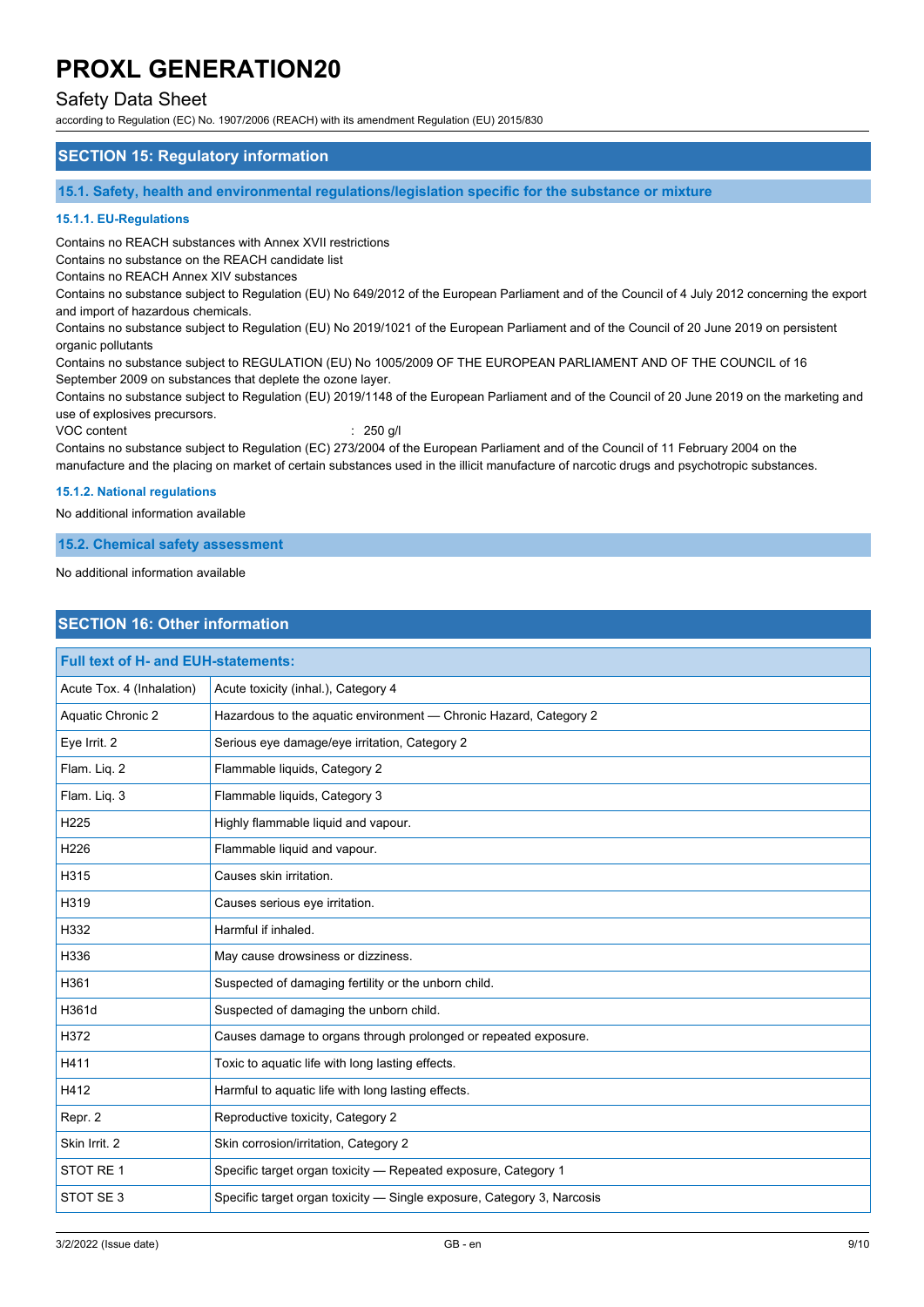### Safety Data Sheet

according to Regulation (EC) No. 1907/2006 (REACH) with its amendment Regulation (EU) 2015/830

#### **SECTION 15: Regulatory information**

**15.1. Safety, health and environmental regulations/legislation specific for the substance or mixture**

#### **15.1.1. EU-Regulations**

Contains no REACH substances with Annex XVII restrictions

Contains no substance on the REACH candidate list

Contains no REACH Annex XIV substances

Contains no substance subject to Regulation (EU) No 649/2012 of the European Parliament and of the Council of 4 July 2012 concerning the export and import of hazardous chemicals.

Contains no substance subject to Regulation (EU) No 2019/1021 of the European Parliament and of the Council of 20 June 2019 on persistent organic pollutants

Contains no substance subject to REGULATION (EU) No 1005/2009 OF THE EUROPEAN PARLIAMENT AND OF THE COUNCIL of 16 September 2009 on substances that deplete the ozone layer.

Contains no substance subject to Regulation (EU) 2019/1148 of the European Parliament and of the Council of 20 June 2019 on the marketing and use of explosives precursors.

VOC content : 250 g/l

Contains no substance subject to Regulation (EC) 273/2004 of the European Parliament and of the Council of 11 February 2004 on the manufacture and the placing on market of certain substances used in the illicit manufacture of narcotic drugs and psychotropic substances.

#### **15.1.2. National regulations**

No additional information available

#### **15.2. Chemical safety assessment**

No additional information available

### **SECTION 16: Other information**

| <b>Full text of H- and EUH-statements:</b> |                                                                        |  |
|--------------------------------------------|------------------------------------------------------------------------|--|
| Acute Tox. 4 (Inhalation)                  | Acute toxicity (inhal.), Category 4                                    |  |
| Aquatic Chronic 2                          | Hazardous to the aquatic environment - Chronic Hazard, Category 2      |  |
| Eye Irrit. 2                               | Serious eye damage/eye irritation, Category 2                          |  |
| Flam. Liq. 2                               | Flammable liquids, Category 2                                          |  |
| Flam. Liq. 3                               | Flammable liquids, Category 3                                          |  |
| H225                                       | Highly flammable liquid and vapour.                                    |  |
| H226                                       | Flammable liquid and vapour.                                           |  |
| H315                                       | Causes skin irritation.                                                |  |
| H319                                       | Causes serious eye irritation.                                         |  |
| H332                                       | Harmful if inhaled.                                                    |  |
| H336                                       | May cause drowsiness or dizziness.                                     |  |
| H361                                       | Suspected of damaging fertility or the unborn child.                   |  |
| H361d                                      | Suspected of damaging the unborn child.                                |  |
| H372                                       | Causes damage to organs through prolonged or repeated exposure.        |  |
| H411                                       | Toxic to aquatic life with long lasting effects.                       |  |
| H412                                       | Harmful to aquatic life with long lasting effects.                     |  |
| Repr. 2                                    | Reproductive toxicity, Category 2                                      |  |
| Skin Irrit. 2                              | Skin corrosion/irritation, Category 2                                  |  |
| STOT RE 1                                  | Specific target organ toxicity - Repeated exposure, Category 1         |  |
| STOT SE3                                   | Specific target organ toxicity - Single exposure, Category 3, Narcosis |  |